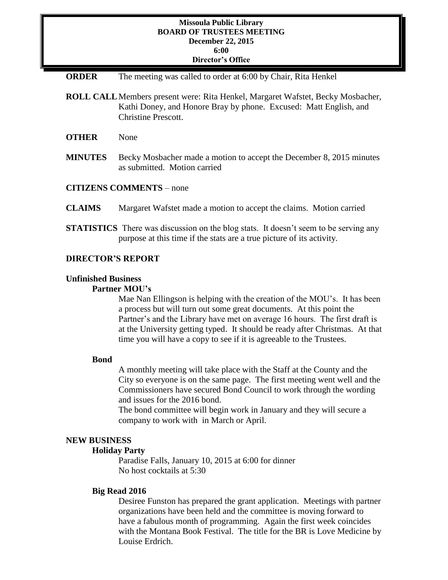### **Missoula Public Library BOARD OF TRUSTEES MEETING December 22, 2015 6:00 Director's Office**

**ORDER** The meeting was called to order at 6:00 by Chair, Rita Henkel

- **ROLL CALL**Members present were: Rita Henkel, Margaret Wafstet, Becky Mosbacher, Kathi Doney, and Honore Bray by phone. Excused: Matt English, and Christine Prescott.
- **OTHER** None
- **MINUTES** Becky Mosbacher made a motion to accept the December 8, 2015 minutes as submitted. Motion carried

### **CITIZENS COMMENTS** – none

## **CLAIMS** Margaret Wafstet made a motion to accept the claims. Motion carried

**STATISTICS** There was discussion on the blog stats. It doesn't seem to be serving any purpose at this time if the stats are a true picture of its activity.

## **DIRECTOR'S REPORT**

#### **Unfinished Business**

#### **Partner MOU's**

Mae Nan Ellingson is helping with the creation of the MOU's. It has been a process but will turn out some great documents. At this point the Partner's and the Library have met on average 16 hours. The first draft is at the University getting typed. It should be ready after Christmas. At that time you will have a copy to see if it is agreeable to the Trustees.

#### **Bond**

A monthly meeting will take place with the Staff at the County and the City so everyone is on the same page. The first meeting went well and the Commissioners have secured Bond Council to work through the wording and issues for the 2016 bond.

The bond committee will begin work in January and they will secure a company to work with in March or April.

## **NEW BUSINESS**

# **Holiday Party**

Paradise Falls, January 10, 2015 at 6:00 for dinner No host cocktails at 5:30

### **Big Read 2016**

Desiree Funston has prepared the grant application. Meetings with partner organizations have been held and the committee is moving forward to have a fabulous month of programming. Again the first week coincides with the Montana Book Festival. The title for the BR is Love Medicine by Louise Erdrich.